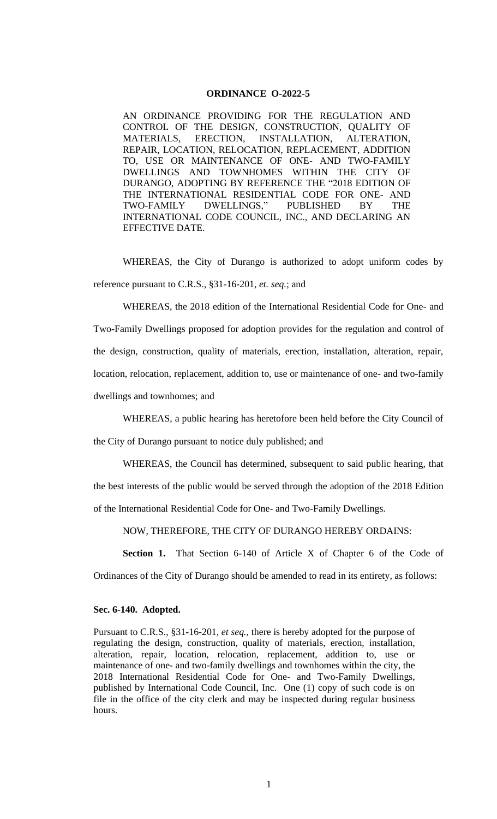## **ORDINANCE O-2022-5**

AN ORDINANCE PROVIDING FOR THE REGULATION AND CONTROL OF THE DESIGN, CONSTRUCTION, QUALITY OF MATERIALS, ERECTION, INSTALLATION, ALTERATION, REPAIR, LOCATION, RELOCATION, REPLACEMENT, ADDITION TO, USE OR MAINTENANCE OF ONE- AND TWO-FAMILY DWELLINGS AND TOWNHOMES WITHIN THE CITY OF DURANGO, ADOPTING BY REFERENCE THE "2018 EDITION OF THE INTERNATIONAL RESIDENTIAL CODE FOR ONE- AND TWO-FAMILY DWELLINGS," PUBLISHED BY THE INTERNATIONAL CODE COUNCIL, INC., AND DECLARING AN EFFECTIVE DATE.

WHEREAS, the City of Durango is authorized to adopt uniform codes by reference pursuant to C.R.S., §31-16-201, *et. seq.*; and

WHEREAS, the 2018 edition of the International Residential Code for One- and Two-Family Dwellings proposed for adoption provides for the regulation and control of the design, construction, quality of materials, erection, installation, alteration, repair, location, relocation, replacement, addition to, use or maintenance of one- and two-family dwellings and townhomes; and

WHEREAS, a public hearing has heretofore been held before the City Council of the City of Durango pursuant to notice duly published; and

WHEREAS, the Council has determined, subsequent to said public hearing, that the best interests of the public would be served through the adoption of the 2018 Edition of the International Residential Code for One- and Two-Family Dwellings.

NOW, THEREFORE, THE CITY OF DURANGO HEREBY ORDAINS:

**Section 1.** That Section 6-140 of Article X of Chapter 6 of the Code of

Ordinances of the City of Durango should be amended to read in its entirety, as follows:

### **Sec. 6-140. Adopted.**

Pursuant to C.R.S., §31-16-201, *et seq.*, there is hereby adopted for the purpose of regulating the design, construction, quality of materials, erection, installation, alteration, repair, location, relocation, replacement, addition to, use or maintenance of one- and two-family dwellings and townhomes within the city, the 2018 International Residential Code for One- and Two-Family Dwellings, published by International Code Council, Inc. One (1) copy of such code is on file in the office of the city clerk and may be inspected during regular business hours.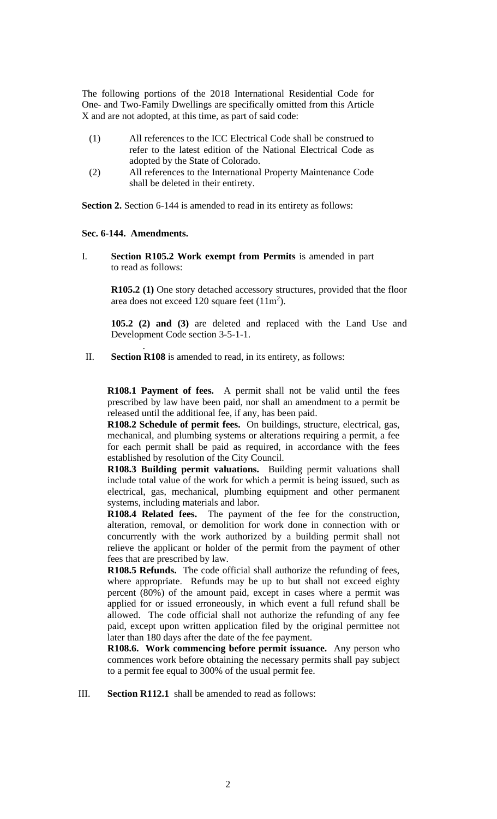The following portions of the 2018 International Residential Code for One- and Two-Family Dwellings are specifically omitted from this Article X and are not adopted, at this time, as part of said code:

- (1) All references to the ICC Electrical Code shall be construed to refer to the latest edition of the National Electrical Code as adopted by the State of Colorado.
- (2) All references to the International Property Maintenance Code shall be deleted in their entirety.

**Section 2.** Section 6-144 is amended to read in its entirety as follows:

### **Sec. 6-144. Amendments.**

.

I. **Section R105.2 Work exempt from Permits** is amended in part to read as follows:

> **R105.2 (1)** One story detached accessory structures, provided that the floor area does not exceed 120 square feet  $(11m^2)$ .

> **105.2 (2) and (3)** are deleted and replaced with the Land Use and Development Code section 3-5-1-1.

II. **Section R108** is amended to read, in its entirety, as follows:

**R108.1 Payment of fees.** A permit shall not be valid until the fees prescribed by law have been paid, nor shall an amendment to a permit be released until the additional fee, if any, has been paid.

**R108.2 Schedule of permit fees.** On buildings, structure, electrical, gas, mechanical, and plumbing systems or alterations requiring a permit, a fee for each permit shall be paid as required, in accordance with the fees established by resolution of the City Council.

**R108.3 Building permit valuations.** Building permit valuations shall include total value of the work for which a permit is being issued, such as electrical, gas, mechanical, plumbing equipment and other permanent systems, including materials and labor.

**R108.4 Related fees.** The payment of the fee for the construction, alteration, removal, or demolition for work done in connection with or concurrently with the work authorized by a building permit shall not relieve the applicant or holder of the permit from the payment of other fees that are prescribed by law.

**R108.5 Refunds.** The code official shall authorize the refunding of fees, where appropriate. Refunds may be up to but shall not exceed eighty percent (80%) of the amount paid, except in cases where a permit was applied for or issued erroneously, in which event a full refund shall be allowed. The code official shall not authorize the refunding of any fee paid, except upon written application filed by the original permittee not later than 180 days after the date of the fee payment.

**R108.6. Work commencing before permit issuance.** Any person who commences work before obtaining the necessary permits shall pay subject to a permit fee equal to 300% of the usual permit fee.

III. **Section R112.1** shall be amended to read as follows: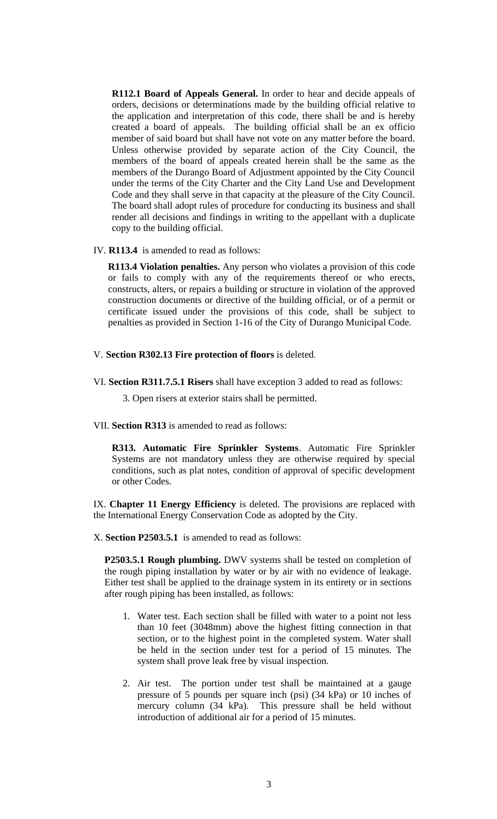**R112.1 Board of Appeals General.** In order to hear and decide appeals of orders, decisions or determinations made by the building official relative to the application and interpretation of this code, there shall be and is hereby created a board of appeals. The building official shall be an ex officio member of said board but shall have not vote on any matter before the board. Unless otherwise provided by separate action of the City Council, the members of the board of appeals created herein shall be the same as the members of the Durango Board of Adjustment appointed by the City Council under the terms of the City Charter and the City Land Use and Development Code and they shall serve in that capacity at the pleasure of the City Council. The board shall adopt rules of procedure for conducting its business and shall render all decisions and findings in writing to the appellant with a duplicate copy to the building official.

IV. **R113.4** is amended to read as follows:

**R113.4 Violation penalties.** Any person who violates a provision of this code or fails to comply with any of the requirements thereof or who erects, constructs, alters, or repairs a building or structure in violation of the approved construction documents or directive of the building official, or of a permit or certificate issued under the provisions of this code, shall be subject to penalties as provided in Section 1-16 of the City of Durango Municipal Code.

- V. **Section R302.13 Fire protection of floors** is deleted.
- VI. **Section R311.7.5.1 Risers** shall have exception 3 added to read as follows:

3. Open risers at exterior stairs shall be permitted.

VII. **Section R313** is amended to read as follows:

**R313. Automatic Fire Sprinkler Systems**. Automatic Fire Sprinkler Systems are not mandatory unless they are otherwise required by special conditions, such as plat notes, condition of approval of specific development or other Codes.

IX. **Chapter 11 Energy Efficiency** is deleted. The provisions are replaced with the International Energy Conservation Code as adopted by the City.

X. **Section P2503.5.1** is amended to read as follows:

**P2503.5.1 Rough plumbing.** DWV systems shall be tested on completion of the rough piping installation by water or by air with no evidence of leakage. Either test shall be applied to the drainage system in its entirety or in sections after rough piping has been installed, as follows:

- 1. Water test. Each section shall be filled with water to a point not less than 10 feet (3048mm) above the highest fitting connection in that section, or to the highest point in the completed system. Water shall be held in the section under test for a period of 15 minutes. The system shall prove leak free by visual inspection.
- 2. Air test. The portion under test shall be maintained at a gauge pressure of 5 pounds per square inch (psi) (34 kPa) or 10 inches of mercury column (34 kPa). This pressure shall be held without introduction of additional air for a period of 15 minutes.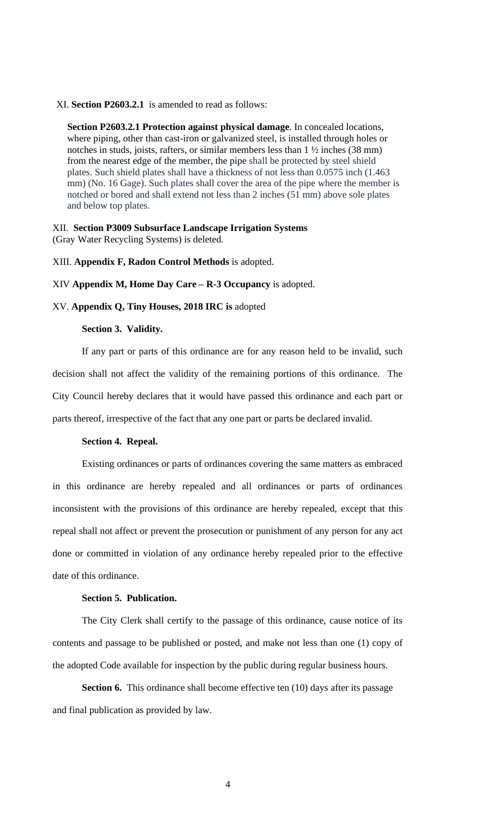#### XI. **Section P2603.2.1** is amended to read as follows:

**Section P2603.2.1 Protection against physical damage**. In concealed locations, where piping, other than cast-iron or galvanized steel, is installed through holes or notches in studs, joists, rafters, or similar members less than 1 ½ inches (38 mm) from the nearest edge of the member, the pipe shall be protected by steel shield plates. Such shield plates shall have a thickness of not less than 0.0575 inch (1.463 mm) (No. 16 Gage). Such plates shall cover the area of the pipe where the member is notched or bored and shall extend not less than 2 inches (51 mm) above sole plates and below top plates.

XII. **Section P3009 Subsurface Landscape Irrigation Systems** (Gray Water Recycling Systems) is deleted.

#### XIII. **Appendix F, Radon Control Methods** is adopted.

XIV **Appendix M, Home Day Care – R-3 Occupancy** is adopted.

XV. **Appendix Q, Tiny Houses, 2018 IRC is** adopted

#### **Section 3. Validity.**

If any part or parts of this ordinance are for any reason held to be invalid, such decision shall not affect the validity of the remaining portions of this ordinance. The City Council hereby declares that it would have passed this ordinance and each part or parts thereof, irrespective of the fact that any one part or parts be declared invalid.

### **Section 4. Repeal.**

Existing ordinances or parts of ordinances covering the same matters as embraced in this ordinance are hereby repealed and all ordinances or parts of ordinances inconsistent with the provisions of this ordinance are hereby repealed, except that this repeal shall not affect or prevent the prosecution or punishment of any person for any act done or committed in violation of any ordinance hereby repealed prior to the effective date of this ordinance.

### **Section 5. Publication.**

The City Clerk shall certify to the passage of this ordinance, cause notice of its contents and passage to be published or posted, and make not less than one (1) copy of the adopted Code available for inspection by the public during regular business hours.

**Section 6.** This ordinance shall become effective ten (10) days after its passage and final publication as provided by law.